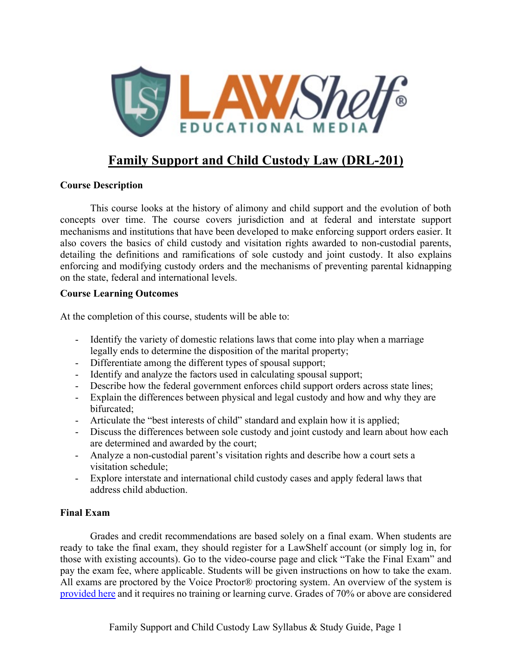

# **Family Support and Child Custody Law (DRL-201)**

## **Course Description**

This course looks at the history of alimony and child support and the evolution of both concepts over time. The course covers jurisdiction and at federal and interstate support mechanisms and institutions that have been developed to make enforcing support orders easier. It also covers the basics of child custody and visitation rights awarded to non-custodial parents, detailing the definitions and ramifications of sole custody and joint custody. It also explains enforcing and modifying custody orders and the mechanisms of preventing parental kidnapping on the state, federal and international levels.

### **Course Learning Outcomes**

At the completion of this course, students will be able to:

- Identify the variety of domestic relations laws that come into play when a marriage legally ends to determine the disposition of the marital property;
- Differentiate among the different types of spousal support;
- Identify and analyze the factors used in calculating spousal support;
- Describe how the federal government enforces child support orders across state lines;
- Explain the differences between physical and legal custody and how and why they are bifurcated;
- Articulate the "best interests of child" standard and explain how it is applied;
- Discuss the differences between sole custody and joint custody and learn about how each are determined and awarded by the court;
- Analyze a non-custodial parent's visitation rights and describe how a court sets a visitation schedule;
- Explore interstate and international child custody cases and apply federal laws that address child abduction.

## **Final Exam**

Grades and credit recommendations are based solely on a final exam. When students are ready to take the final exam, they should register for a LawShelf account (or simply log in, for those with existing accounts). Go to the video-course page and click "Take the Final Exam" and pay the exam fee, where applicable. Students will be given instructions on how to take the exam. All exams are proctored by the Voice Proctor® proctoring system. An overview of the system is [provided](https://lawshelf.com/voiceproctorvideo) here and it requires no training or learning curve. Grades of 70% or above are considered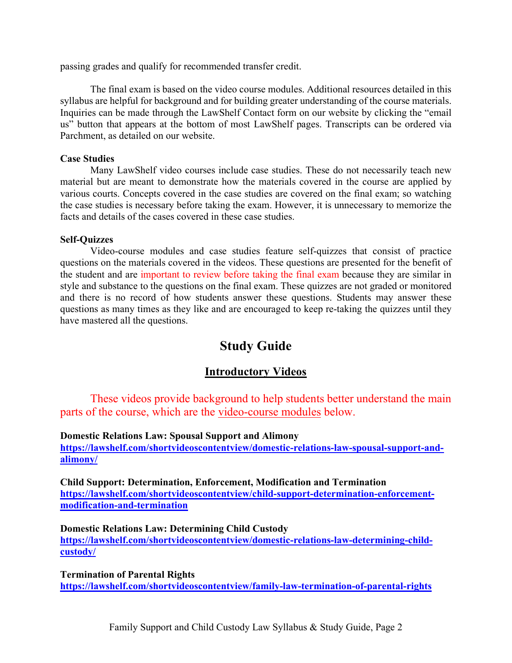passing grades and qualify for recommended transfer credit.

The final exam is based on the video course modules. Additional resources detailed in this syllabus are helpful for background and for building greater understanding of the course materials. Inquiries can be made through the LawShelf Contact form on our website by clicking the "email us" button that appears at the bottom of most LawShelf pages. Transcripts can be ordered via Parchment, as detailed on our website.

#### **Case Studies**

Many LawShelf video courses include case studies. These do not necessarily teach new material but are meant to demonstrate how the materials covered in the course are applied by various courts. Concepts covered in the case studies are covered on the final exam; so watching the case studies is necessary before taking the exam. However, it is unnecessary to memorize the facts and details of the cases covered in these case studies.

#### **Self-Quizzes**

Video-course modules and case studies feature self-quizzes that consist of practice questions on the materials covered in the videos. These questions are presented for the benefit of the student and are important to review before taking the final exam because they are similar in style and substance to the questions on the final exam. These quizzes are not graded or monitored and there is no record of how students answer these questions. Students may answer these questions as many times as they like and are encouraged to keep re-taking the quizzes until they have mastered all the questions.

# **Study Guide**

## **Introductory Videos**

These videos provide background to help students better understand the main parts of the course, which are the video-course modules below.

#### **Domestic Relations Law: Spousal Support and Alimony**

**[https://lawshelf.com/shortvideoscontentview/domestic-relations-law-spousal-support-and](https://lawshelf.com/shortvideoscontentview/domestic-relations-law-spousal-support-and-alimony/)[alimony/](https://lawshelf.com/shortvideoscontentview/domestic-relations-law-spousal-support-and-alimony/)**

**Child Support: Determination, Enforcement, Modification and Termination [https://lawshelf.com/shortvideoscontentview/child-support-determination-enforcement](https://lawshelf.com/shortvideoscontentview/child-support-determination-enforcement-modification-and-termination)[modification-and-termination](https://lawshelf.com/shortvideoscontentview/child-support-determination-enforcement-modification-and-termination)**

**Domestic Relations Law: Determining Child Custody [https://lawshelf.com/shortvideoscontentview/domestic-relations-law-determining-child](https://lawshelf.com/shortvideoscontentview/domestic-relations-law-determining-child-custody/)[custody/](https://lawshelf.com/shortvideoscontentview/domestic-relations-law-determining-child-custody/)**

**Termination of Parental Rights <https://lawshelf.com/shortvideoscontentview/family-law-termination-of-parental-rights>**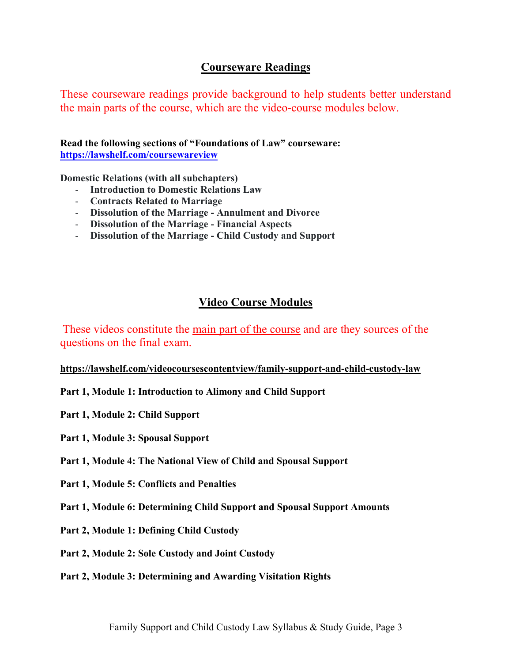# **Courseware Readings**

These courseware readings provide background to help students better understand the main parts of the course, which are the video-course modules below.

**Read the following sections of "Foundations of Law" courseware: <https://lawshelf.com/coursewareview>**

**Domestic Relations (with all subchapters)**

- **Introduction to Domestic Relations Law**
- **Contracts Related to Marriage**
- **Dissolution of the Marriage - Annulment and Divorce**
- **Dissolution of the Marriage - Financial Aspects**
- **Dissolution of the Marriage - Child Custody and Support**

# **Video Course Modules**

These videos constitute the main part of the course and are they sources of the questions on the final exam.

## **<https://lawshelf.com/videocoursescontentview/family-support-and-child-custody-law>**

- **Part 1, Module 1: Introduction to Alimony and Child Support**
- **Part 1, Module 2: Child Support**
- **Part 1, Module 3: Spousal Support**
- **Part 1, Module 4: The National View of Child and Spousal Support**
- **Part 1, Module 5: Conflicts and Penalties**
- **Part 1, Module 6: Determining Child Support and Spousal Support Amounts**
- **Part 2, Module 1: Defining Child Custody**
- **Part 2, Module 2: Sole Custody and Joint Custody**
- **Part 2, Module 3: Determining and Awarding Visitation Rights**